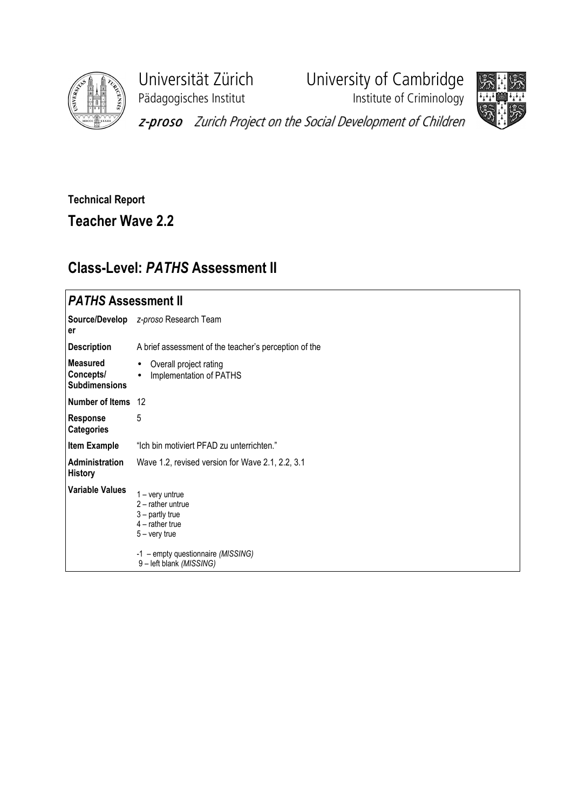

Pädagogisches Institut **Institute of Criminology** 

Universität Zürich University of Cambridge



z-proso Zurich Project on the Social Development of Children

## Technical Report

Teacher Wave 2.2

## Class-Level: PATHS Assessment II

| <i><b>PATHS Assessment II</b></i>                    |                                                                                                                                                                       |
|------------------------------------------------------|-----------------------------------------------------------------------------------------------------------------------------------------------------------------------|
| er                                                   | Source/Develop z-proso Research Team                                                                                                                                  |
| <b>Description</b>                                   | A brief assessment of the teacher's perception of the                                                                                                                 |
| <b>Measured</b><br>Concepts/<br><b>Subdimensions</b> | Overall project rating<br>$\bullet$<br>Implementation of PATHS<br>$\bullet$                                                                                           |
| Number of Items 12                                   |                                                                                                                                                                       |
| Response<br><b>Categories</b>                        | 5                                                                                                                                                                     |
| <b>Item Example</b>                                  | "Ich bin motiviert PFAD zu unterrichten."                                                                                                                             |
| <b>Administration</b><br><b>History</b>              | Wave 1.2, revised version for Wave 2.1, 2.2, 3.1                                                                                                                      |
| <b>Variable Values</b>                               | $1 - \text{very}$<br>$2$ – rather untrue<br>$3$ – partly true<br>$4$ – rather true<br>$5 -$ very true<br>-1 - empty questionnaire (MISSING)<br>9-left blank (MISSING) |